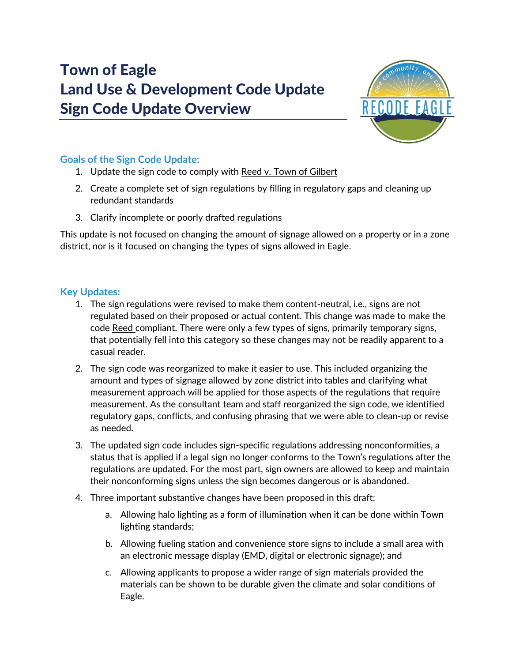# Town of Eagle Land Use & Development Code Update Sign Code Update Overview



## **Goals of the Sign Code Update:**

- 1. Update the sign code to comply with Reed v. Town of Gilbert
- 2. Create a complete set of sign regulations by filling in regulatory gaps and cleaning up redundant standards
- 3. Clarify incomplete or poorly drafted regulations

This update is not focused on changing the amount of signage allowed on a property or in a zone district, nor is it focused on changing the types of signs allowed in Eagle.

### **Key Updates:**

- 1. The sign regulations were revised to make them content-neutral, i.e., signs are not regulated based on their proposed or actual content. This change was made to make the code Reed compliant. There were only a few types of signs, primarily temporary signs, that potentially fell into this category so these changes may not be readily apparent to a casual reader.
- 2. The sign code was reorganized to make it easier to use. This included organizing the amount and types of signage allowed by zone district into tables and clarifying what measurement approach will be applied for those aspects of the regulations that require measurement. As the consultant team and staff reorganized the sign code, we identified regulatory gaps, conflicts, and confusing phrasing that we were able to clean-up or revise as needed.
- 3. The updated sign code includes sign-specific regulations addressing nonconformities, a status that is applied if a legal sign no longer conforms to the Town's regulations after the regulations are updated. For the most part, sign owners are allowed to keep and maintain their nonconforming signs unless the sign becomes dangerous or is abandoned.
- 4. Three important substantive changes have been proposed in this draft:
	- a. Allowing halo lighting as a form of illumination when it can be done within Town lighting standards;
	- b. Allowing fueling station and convenience store signs to include a small area with an electronic message display (EMD, digital or electronic signage); and
	- c. Allowing applicants to propose a wider range of sign materials provided the materials can be shown to be durable given the climate and solar conditions of Eagle.